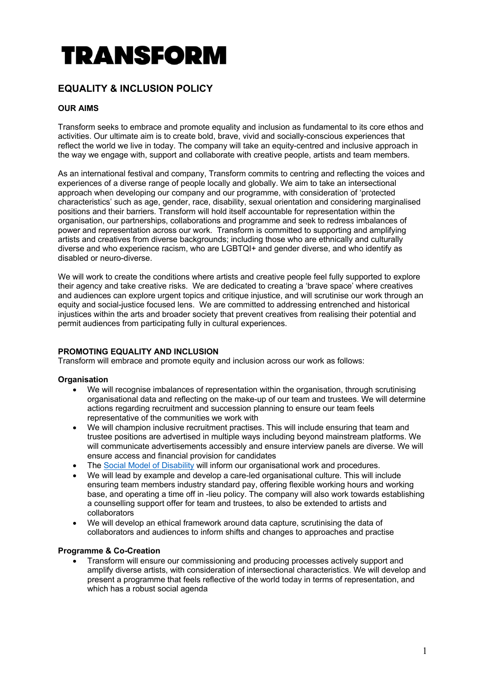# **TRANSFORM**

## **EQUALITY & INCLUSION POLICY**

### **OUR AIMS**

Transform seeks to embrace and promote equality and inclusion as fundamental to its core ethos and activities. Our ultimate aim is to create bold, brave, vivid and socially-conscious experiences that reflect the world we live in today. The company will take an equity-centred and inclusive approach in the way we engage with, support and collaborate with creative people, artists and team members.

As an international festival and company, Transform commits to centring and reflecting the voices and experiences of a diverse range of people locally and globally. We aim to take an intersectional approach when developing our company and our programme, with consideration of 'protected characteristics' such as age, gender, race, disability, sexual orientation and considering marginalised positions and their barriers. Transform will hold itself accountable for representation within the organisation, our partnerships, collaborations and programme and seek to redress imbalances of power and representation across our work. Transform is committed to supporting and amplifying artists and creatives from diverse backgrounds; including those who are ethnically and culturally diverse and who experience racism, who are LGBTQI+ and gender diverse, and who identify as disabled or neuro-diverse.

We will work to create the conditions where artists and creative people feel fully supported to explore their agency and take creative risks. We are dedicated to creating a 'brave space' where creatives and audiences can explore urgent topics and critique injustice, and will scrutinise our work through an equity and social-justice focused lens. We are committed to addressing entrenched and historical injustices within the arts and broader society that prevent creatives from realising their potential and permit audiences from participating fully in cultural experiences.

#### **PROMOTING EQUALITY AND INCLUSION**

Transform will embrace and promote equity and inclusion across our work as follows:

#### **Organisation**

- We will recognise imbalances of representation within the organisation, through scrutinising organisational data and reflecting on the make-up of our team and trustees. We will determine actions regarding recruitment and succession planning to ensure our team feels representative of the communities we work with
- We will champion inclusive recruitment practises. This will include ensuring that team and trustee positions are advertised in multiple ways including beyond mainstream platforms. We will communicate advertisements accessibly and ensure interview panels are diverse. We will ensure access and financial provision for candidates
- The Social Model of Disability will inform our organisational work and procedures.
- We will lead by example and develop a care-led organisational culture. This will include ensuring team members industry standard pay, offering flexible working hours and working base, and operating a time off in -lieu policy. The company will also work towards establishing a counselling support offer for team and trustees, to also be extended to artists and collaborators
- We will develop an ethical framework around data capture, scrutinising the data of collaborators and audiences to inform shifts and changes to approaches and practise

#### **Programme & Co-Creation**

• Transform will ensure our commissioning and producing processes actively support and amplify diverse artists, with consideration of intersectional characteristics. We will develop and present a programme that feels reflective of the world today in terms of representation, and which has a robust social agenda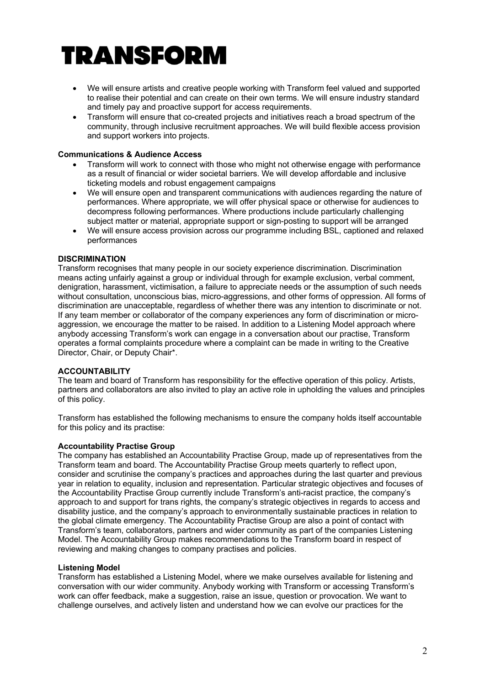# TRANSFORM

- We will ensure artists and creative people working with Transform feel valued and supported to realise their potential and can create on their own terms. We will ensure industry standard and timely pay and proactive support for access requirements.
- Transform will ensure that co-created projects and initiatives reach a broad spectrum of the community, through inclusive recruitment approaches. We will build flexible access provision and support workers into projects.

#### **Communications & Audience Access**

- Transform will work to connect with those who might not otherwise engage with performance as a result of financial or wider societal barriers. We will develop affordable and inclusive ticketing models and robust engagement campaigns
- We will ensure open and transparent communications with audiences regarding the nature of performances. Where appropriate, we will offer physical space or otherwise for audiences to decompress following performances. Where productions include particularly challenging subject matter or material, appropriate support or sign-posting to support will be arranged
- We will ensure access provision across our programme including BSL, captioned and relaxed performances

#### **DISCRIMINATION**

Transform recognises that many people in our society experience discrimination. Discrimination means acting unfairly against a group or individual through for example exclusion, verbal comment, denigration, harassment, victimisation, a failure to appreciate needs or the assumption of such needs without consultation, unconscious bias, micro-aggressions, and other forms of oppression. All forms of discrimination are unacceptable, regardless of whether there was any intention to discriminate or not. If any team member or collaborator of the company experiences any form of discrimination or microaggression, we encourage the matter to be raised. In addition to a Listening Model approach where anybody accessing Transform's work can engage in a conversation about our practise, Transform operates a formal complaints procedure where a complaint can be made in writing to the Creative Director, Chair, or Deputy Chair\*.

#### **ACCOUNTABILITY**

The team and board of Transform has responsibility for the effective operation of this policy. Artists, partners and collaborators are also invited to play an active role in upholding the values and principles of this policy.

Transform has established the following mechanisms to ensure the company holds itself accountable for this policy and its practise:

#### **Accountability Practise Group**

The company has established an Accountability Practise Group, made up of representatives from the Transform team and board. The Accountability Practise Group meets quarterly to reflect upon, consider and scrutinise the company's practices and approaches during the last quarter and previous year in relation to equality, inclusion and representation. Particular strategic objectives and focuses of the Accountability Practise Group currently include Transform's anti-racist practice, the company's approach to and support for trans rights, the company's strategic objectives in regards to access and disability justice, and the company's approach to environmentally sustainable practices in relation to the global climate emergency. The Accountability Practise Group are also a point of contact with Transform's team, collaborators, partners and wider community as part of the companies Listening Model. The Accountability Group makes recommendations to the Transform board in respect of reviewing and making changes to company practises and policies.

#### **Listening Model**

Transform has established a Listening Model, where we make ourselves available for listening and conversation with our wider community. Anybody working with Transform or accessing Transform's work can offer feedback, make a suggestion, raise an issue, question or provocation. We want to challenge ourselves, and actively listen and understand how we can evolve our practices for the